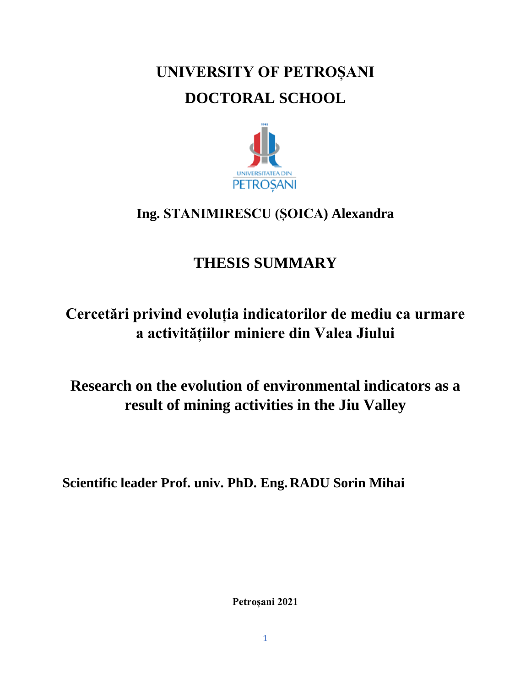# **UNIVERSITY OF PETROȘANI DOCTORAL SCHOOL**



#### **Ing. STANIMIRESCU (ȘOICA) Alexandra**

## **THESIS SUMMARY**

## **Cercetări privind evoluția indicatorilor de mediu ca urmare a activitățiilor miniere din Valea Jiului**

### **Research on the evolution of environmental indicators as a result of mining activities in the Jiu Valley**

**Scientific leader Prof. univ. PhD. Eng.RADU Sorin Mihai**

**Petroșani 2021**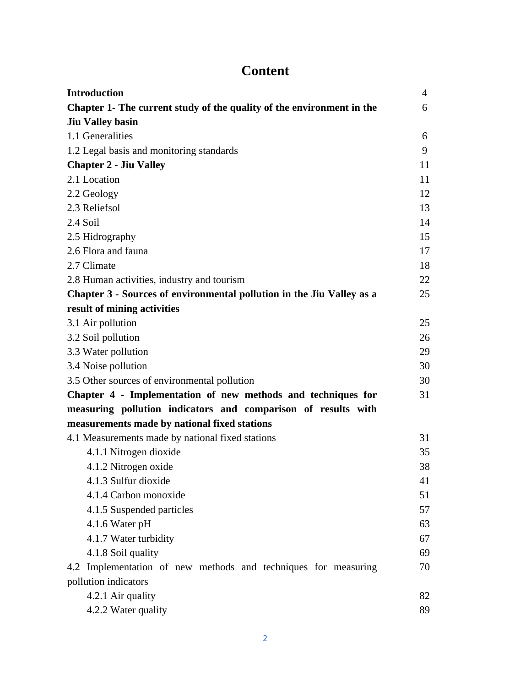#### **Content**

| <b>Introduction</b>                                                   | $\overline{4}$ |
|-----------------------------------------------------------------------|----------------|
| Chapter 1- The current study of the quality of the environment in the | 6              |
| <b>Jiu Valley basin</b>                                               |                |
| 1.1 Generalities                                                      | 6              |
| 1.2 Legal basis and monitoring standards                              | 9              |
| <b>Chapter 2 - Jiu Valley</b>                                         | 11             |
| 2.1 Location                                                          | 11             |
| 2.2 Geology                                                           | 12             |
| 2.3 Reliefsol                                                         | 13             |
| 2.4 Soil                                                              | 14             |
| 2.5 Hidrography                                                       | 15             |
| 2.6 Flora and fauna                                                   | 17             |
| 2.7 Climate                                                           | 18             |
| 2.8 Human activities, industry and tourism                            | 22             |
| Chapter 3 - Sources of environmental pollution in the Jiu Valley as a | 25             |
| result of mining activities                                           |                |
| 3.1 Air pollution                                                     | 25             |
| 3.2 Soil pollution                                                    | 26             |
| 3.3 Water pollution                                                   | 29             |
| 3.4 Noise pollution                                                   | 30             |
| 3.5 Other sources of environmental pollution                          | 30             |
| Chapter 4 - Implementation of new methods and techniques for          | 31             |
| measuring pollution indicators and comparison of results with         |                |
| measurements made by national fixed stations                          |                |
| 4.1 Measurements made by national fixed stations                      | 31             |
| 4.1.1 Nitrogen dioxide                                                | 35             |
| 4.1.2 Nitrogen oxide                                                  | 38             |
| 4.1.3 Sulfur dioxide                                                  | 41             |
| 4.1.4 Carbon monoxide                                                 | 51             |
| 4.1.5 Suspended particles                                             | 57             |
| 4.1.6 Water pH                                                        | 63             |
| 4.1.7 Water turbidity                                                 | 67             |
| 4.1.8 Soil quality                                                    | 69             |
| 4.2 Implementation of new methods and techniques for measuring        | 70             |
| pollution indicators                                                  |                |
| 4.2.1 Air quality                                                     | 82             |
| 4.2.2 Water quality                                                   | 89             |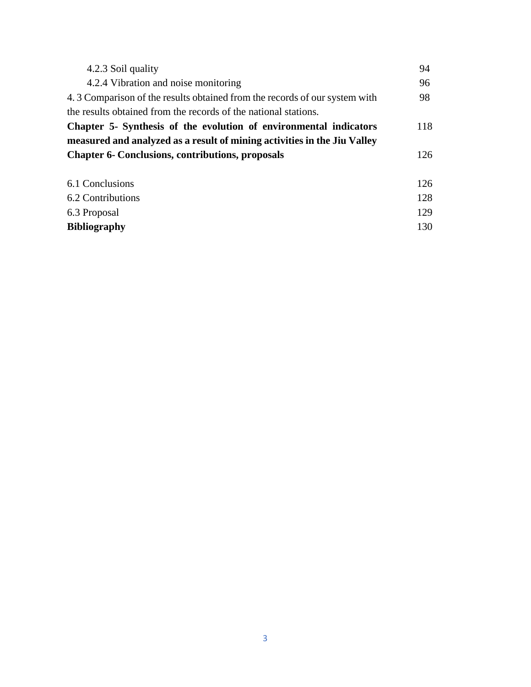| 4.2.3 Soil quality                                                         | 94  |
|----------------------------------------------------------------------------|-----|
| 4.2.4 Vibration and noise monitoring                                       | 96  |
| 4.3 Comparison of the results obtained from the records of our system with | 98  |
| the results obtained from the records of the national stations.            |     |
| Chapter 5- Synthesis of the evolution of environmental indicators          | 118 |
| measured and analyzed as a result of mining activities in the Jiu Valley   |     |
| <b>Chapter 6- Conclusions, contributions, proposals</b>                    | 126 |
|                                                                            |     |
| 6.1 Conclusions                                                            | 126 |
| 6.2 Contributions                                                          | 128 |
|                                                                            |     |
| 6.3 Proposal                                                               | 129 |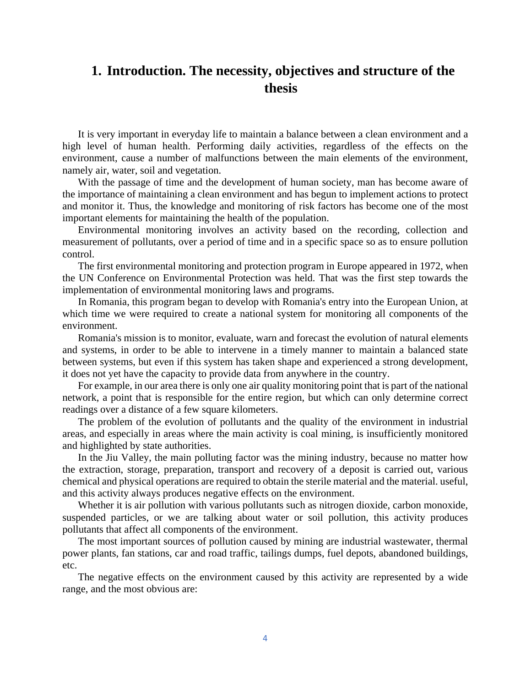#### **1. Introduction. The necessity, objectives and structure of the thesis**

It is very important in everyday life to maintain a balance between a clean environment and a high level of human health. Performing daily activities, regardless of the effects on the environment, cause a number of malfunctions between the main elements of the environment, namely air, water, soil and vegetation.

With the passage of time and the development of human society, man has become aware of the importance of maintaining a clean environment and has begun to implement actions to protect and monitor it. Thus, the knowledge and monitoring of risk factors has become one of the most important elements for maintaining the health of the population.

Environmental monitoring involves an activity based on the recording, collection and measurement of pollutants, over a period of time and in a specific space so as to ensure pollution control.

The first environmental monitoring and protection program in Europe appeared in 1972, when the UN Conference on Environmental Protection was held. That was the first step towards the implementation of environmental monitoring laws and programs.

In Romania, this program began to develop with Romania's entry into the European Union, at which time we were required to create a national system for monitoring all components of the environment.

Romania's mission is to monitor, evaluate, warn and forecast the evolution of natural elements and systems, in order to be able to intervene in a timely manner to maintain a balanced state between systems, but even if this system has taken shape and experienced a strong development, it does not yet have the capacity to provide data from anywhere in the country.

For example, in our area there is only one air quality monitoring point that is part of the national network, a point that is responsible for the entire region, but which can only determine correct readings over a distance of a few square kilometers.

The problem of the evolution of pollutants and the quality of the environment in industrial areas, and especially in areas where the main activity is coal mining, is insufficiently monitored and highlighted by state authorities.

In the Jiu Valley, the main polluting factor was the mining industry, because no matter how the extraction, storage, preparation, transport and recovery of a deposit is carried out, various chemical and physical operations are required to obtain the sterile material and the material. useful, and this activity always produces negative effects on the environment.

Whether it is air pollution with various pollutants such as nitrogen dioxide, carbon monoxide, suspended particles, or we are talking about water or soil pollution, this activity produces pollutants that affect all components of the environment.

The most important sources of pollution caused by mining are industrial wastewater, thermal power plants, fan stations, car and road traffic, tailings dumps, fuel depots, abandoned buildings, etc.

The negative effects on the environment caused by this activity are represented by a wide range, and the most obvious are: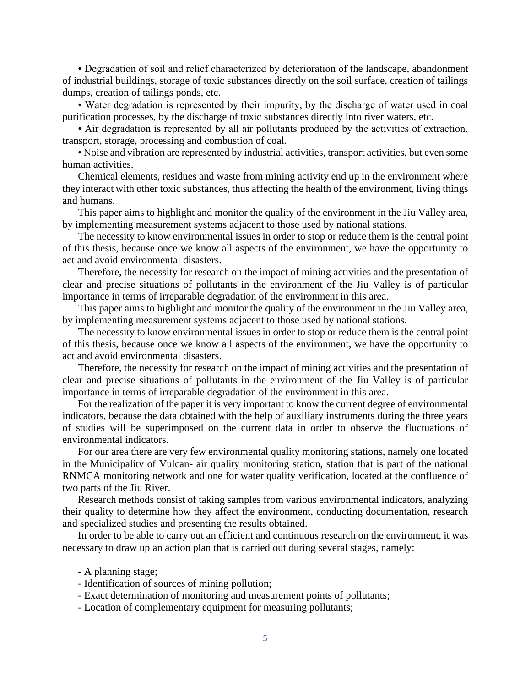• Degradation of soil and relief characterized by deterioration of the landscape, abandonment of industrial buildings, storage of toxic substances directly on the soil surface, creation of tailings dumps, creation of tailings ponds, etc.

• Water degradation is represented by their impurity, by the discharge of water used in coal purification processes, by the discharge of toxic substances directly into river waters, etc.

• Air degradation is represented by all air pollutants produced by the activities of extraction, transport, storage, processing and combustion of coal.

• Noise and vibration are represented by industrial activities, transport activities, but even some human activities.

Chemical elements, residues and waste from mining activity end up in the environment where they interact with other toxic substances, thus affecting the health of the environment, living things and humans.

This paper aims to highlight and monitor the quality of the environment in the Jiu Valley area, by implementing measurement systems adjacent to those used by national stations.

The necessity to know environmental issues in order to stop or reduce them is the central point of this thesis, because once we know all aspects of the environment, we have the opportunity to act and avoid environmental disasters.

Therefore, the necessity for research on the impact of mining activities and the presentation of clear and precise situations of pollutants in the environment of the Jiu Valley is of particular importance in terms of irreparable degradation of the environment in this area.

This paper aims to highlight and monitor the quality of the environment in the Jiu Valley area, by implementing measurement systems adjacent to those used by national stations.

The necessity to know environmental issues in order to stop or reduce them is the central point of this thesis, because once we know all aspects of the environment, we have the opportunity to act and avoid environmental disasters.

Therefore, the necessity for research on the impact of mining activities and the presentation of clear and precise situations of pollutants in the environment of the Jiu Valley is of particular importance in terms of irreparable degradation of the environment in this area.

For the realization of the paper it is very important to know the current degree of environmental indicators, because the data obtained with the help of auxiliary instruments during the three years of studies will be superimposed on the current data in order to observe the fluctuations of environmental indicators.

For our area there are very few environmental quality monitoring stations, namely one located in the Municipality of Vulcan- air quality monitoring station, station that is part of the national RNMCA monitoring network and one for water quality verification, located at the confluence of two parts of the Jiu River.

Research methods consist of taking samples from various environmental indicators, analyzing their quality to determine how they affect the environment, conducting documentation, research and specialized studies and presenting the results obtained.

In order to be able to carry out an efficient and continuous research on the environment, it was necessary to draw up an action plan that is carried out during several stages, namely:

- A planning stage;
- Identification of sources of mining pollution;
- Exact determination of monitoring and measurement points of pollutants;
- Location of complementary equipment for measuring pollutants;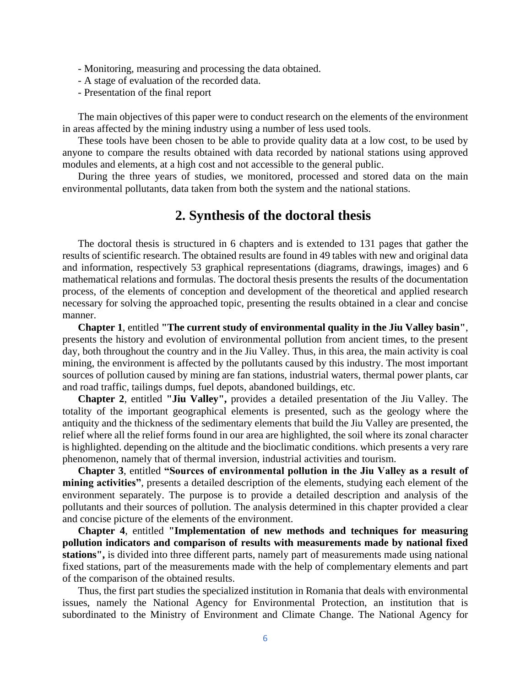- Monitoring, measuring and processing the data obtained.

- A stage of evaluation of the recorded data.
- Presentation of the final report

The main objectives of this paper were to conduct research on the elements of the environment in areas affected by the mining industry using a number of less used tools.

These tools have been chosen to be able to provide quality data at a low cost, to be used by anyone to compare the results obtained with data recorded by national stations using approved modules and elements, at a high cost and not accessible to the general public.

During the three years of studies, we monitored, processed and stored data on the main environmental pollutants, data taken from both the system and the national stations.

#### **2. Synthesis of the doctoral thesis**

The doctoral thesis is structured in 6 chapters and is extended to 131 pages that gather the results of scientific research. The obtained results are found in 49 tables with new and original data and information, respectively 53 graphical representations (diagrams, drawings, images) and 6 mathematical relations and formulas. The doctoral thesis presents the results of the documentation process, of the elements of conception and development of the theoretical and applied research necessary for solving the approached topic, presenting the results obtained in a clear and concise manner.

**Chapter 1**, entitled **"The current study of environmental quality in the Jiu Valley basin"**, presents the history and evolution of environmental pollution from ancient times, to the present day, both throughout the country and in the Jiu Valley. Thus, in this area, the main activity is coal mining, the environment is affected by the pollutants caused by this industry. The most important sources of pollution caused by mining are fan stations, industrial waters, thermal power plants, car and road traffic, tailings dumps, fuel depots, abandoned buildings, etc.

**Chapter 2**, entitled **"Jiu Valley",** provides a detailed presentation of the Jiu Valley. The totality of the important geographical elements is presented, such as the geology where the antiquity and the thickness of the sedimentary elements that build the Jiu Valley are presented, the relief where all the relief forms found in our area are highlighted, the soil where its zonal character is highlighted. depending on the altitude and the bioclimatic conditions. which presents a very rare phenomenon, namely that of thermal inversion, industrial activities and tourism.

**Chapter 3**, entitled **"Sources of environmental pollution in the Jiu Valley as a result of mining activities"**, presents a detailed description of the elements, studying each element of the environment separately. The purpose is to provide a detailed description and analysis of the pollutants and their sources of pollution. The analysis determined in this chapter provided a clear and concise picture of the elements of the environment.

**Chapter 4**, entitled **"Implementation of new methods and techniques for measuring pollution indicators and comparison of results with measurements made by national fixed stations",** is divided into three different parts, namely part of measurements made using national fixed stations, part of the measurements made with the help of complementary elements and part of the comparison of the obtained results.

Thus, the first part studies the specialized institution in Romania that deals with environmental issues, namely the National Agency for Environmental Protection, an institution that is subordinated to the Ministry of Environment and Climate Change. The National Agency for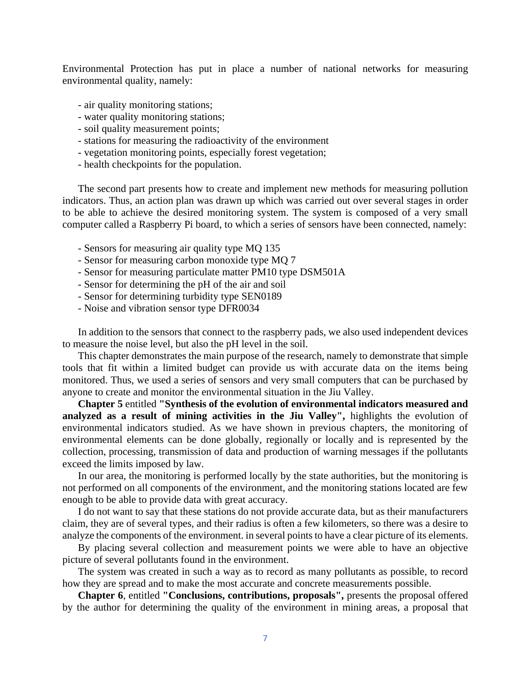Environmental Protection has put in place a number of national networks for measuring environmental quality, namely:

- air quality monitoring stations;
- water quality monitoring stations;
- soil quality measurement points;
- stations for measuring the radioactivity of the environment
- vegetation monitoring points, especially forest vegetation;
- health checkpoints for the population.

The second part presents how to create and implement new methods for measuring pollution indicators. Thus, an action plan was drawn up which was carried out over several stages in order to be able to achieve the desired monitoring system. The system is composed of a very small computer called a Raspberry Pi board, to which a series of sensors have been connected, namely:

- Sensors for measuring air quality type MQ 135
- Sensor for measuring carbon monoxide type MQ 7
- Sensor for measuring particulate matter PM10 type DSM501A
- Sensor for determining the pH of the air and soil
- Sensor for determining turbidity type SEN0189
- Noise and vibration sensor type DFR0034

In addition to the sensors that connect to the raspberry pads, we also used independent devices to measure the noise level, but also the pH level in the soil.

This chapter demonstrates the main purpose of the research, namely to demonstrate that simple tools that fit within a limited budget can provide us with accurate data on the items being monitored. Thus, we used a series of sensors and very small computers that can be purchased by anyone to create and monitor the environmental situation in the Jiu Valley.

**Chapter 5** entitled **"Synthesis of the evolution of environmental indicators measured and analyzed as a result of mining activities in the Jiu Valley",** highlights the evolution of environmental indicators studied. As we have shown in previous chapters, the monitoring of environmental elements can be done globally, regionally or locally and is represented by the collection, processing, transmission of data and production of warning messages if the pollutants exceed the limits imposed by law.

In our area, the monitoring is performed locally by the state authorities, but the monitoring is not performed on all components of the environment, and the monitoring stations located are few enough to be able to provide data with great accuracy.

I do not want to say that these stations do not provide accurate data, but as their manufacturers claim, they are of several types, and their radius is often a few kilometers, so there was a desire to analyze the components of the environment. in several points to have a clear picture of its elements.

By placing several collection and measurement points we were able to have an objective picture of several pollutants found in the environment.

The system was created in such a way as to record as many pollutants as possible, to record how they are spread and to make the most accurate and concrete measurements possible.

**Chapter 6**, entitled **"Conclusions, contributions, proposals",** presents the proposal offered by the author for determining the quality of the environment in mining areas, a proposal that